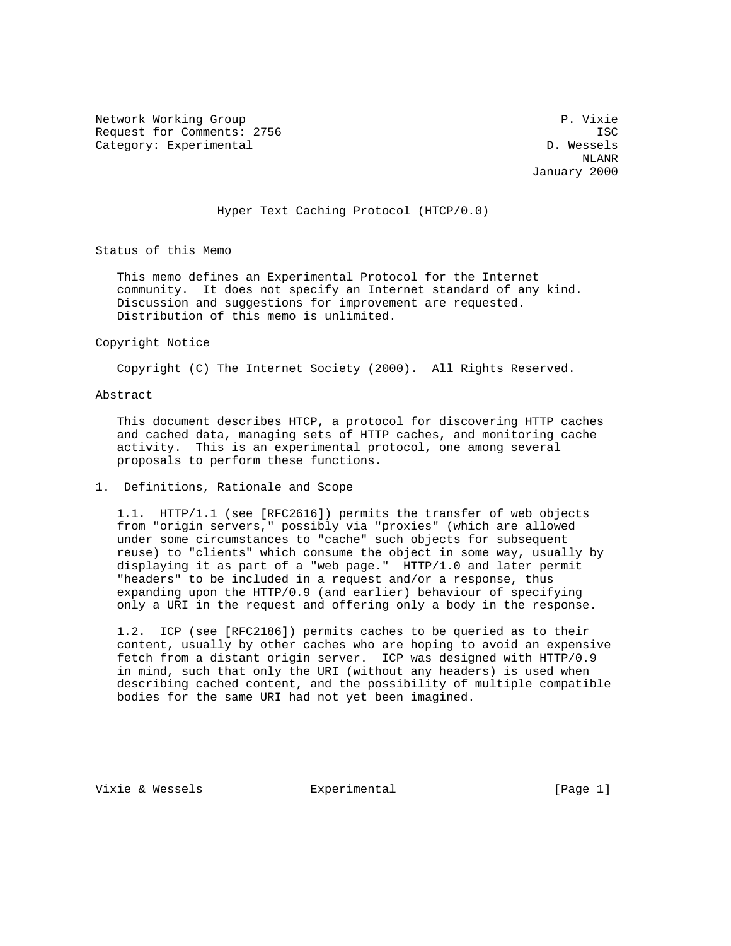Network Working Group **P. Vixie** P. Vixie Request for Comments: 2756 ISC Category: Experimental and D. Wessels

 NLANR January 2000

# Hyper Text Caching Protocol (HTCP/0.0)

Status of this Memo

 This memo defines an Experimental Protocol for the Internet community. It does not specify an Internet standard of any kind. Discussion and suggestions for improvement are requested. Distribution of this memo is unlimited.

#### Copyright Notice

Copyright (C) The Internet Society (2000). All Rights Reserved.

## Abstract

 This document describes HTCP, a protocol for discovering HTTP caches and cached data, managing sets of HTTP caches, and monitoring cache activity. This is an experimental protocol, one among several proposals to perform these functions.

## 1. Definitions, Rationale and Scope

 1.1. HTTP/1.1 (see [RFC2616]) permits the transfer of web objects from "origin servers," possibly via "proxies" (which are allowed under some circumstances to "cache" such objects for subsequent reuse) to "clients" which consume the object in some way, usually by displaying it as part of a "web page." HTTP/1.0 and later permit "headers" to be included in a request and/or a response, thus expanding upon the HTTP/0.9 (and earlier) behaviour of specifying only a URI in the request and offering only a body in the response.

 1.2. ICP (see [RFC2186]) permits caches to be queried as to their content, usually by other caches who are hoping to avoid an expensive fetch from a distant origin server. ICP was designed with HTTP/0.9 in mind, such that only the URI (without any headers) is used when describing cached content, and the possibility of multiple compatible bodies for the same URI had not yet been imagined.

Vixie & Wessels **Experimental Experimental** [Page 1]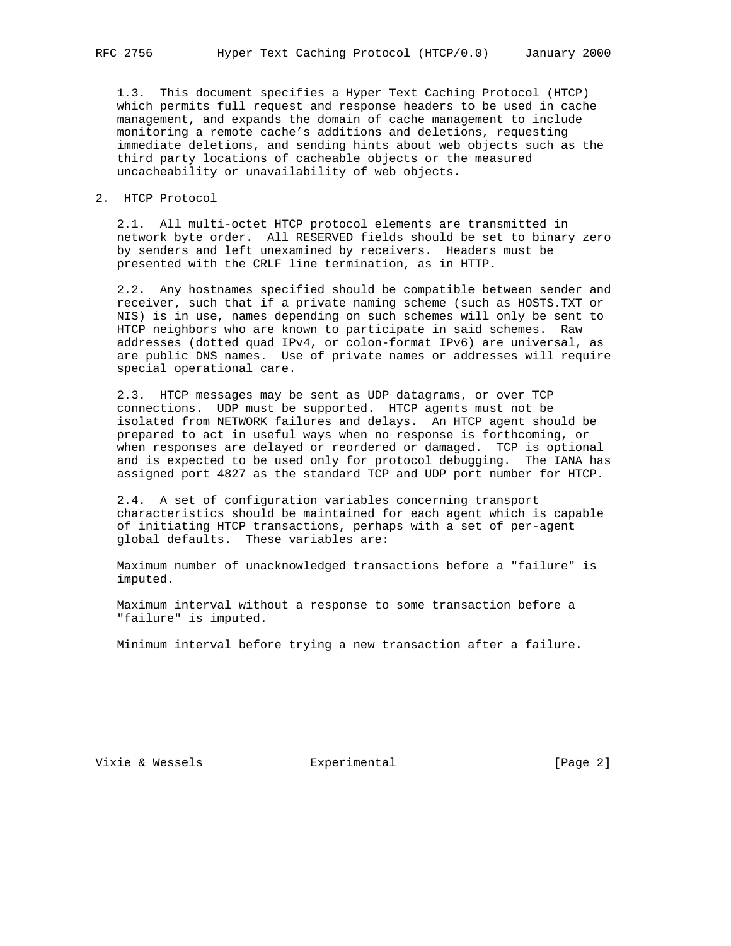1.3. This document specifies a Hyper Text Caching Protocol (HTCP) which permits full request and response headers to be used in cache management, and expands the domain of cache management to include monitoring a remote cache's additions and deletions, requesting immediate deletions, and sending hints about web objects such as the third party locations of cacheable objects or the measured uncacheability or unavailability of web objects.

## 2. HTCP Protocol

 2.1. All multi-octet HTCP protocol elements are transmitted in network byte order. All RESERVED fields should be set to binary zero by senders and left unexamined by receivers. Headers must be presented with the CRLF line termination, as in HTTP.

 2.2. Any hostnames specified should be compatible between sender and receiver, such that if a private naming scheme (such as HOSTS.TXT or NIS) is in use, names depending on such schemes will only be sent to HTCP neighbors who are known to participate in said schemes. Raw addresses (dotted quad IPv4, or colon-format IPv6) are universal, as are public DNS names. Use of private names or addresses will require special operational care.

 2.3. HTCP messages may be sent as UDP datagrams, or over TCP connections. UDP must be supported. HTCP agents must not be isolated from NETWORK failures and delays. An HTCP agent should be prepared to act in useful ways when no response is forthcoming, or when responses are delayed or reordered or damaged. TCP is optional and is expected to be used only for protocol debugging. The IANA has assigned port 4827 as the standard TCP and UDP port number for HTCP.

 2.4. A set of configuration variables concerning transport characteristics should be maintained for each agent which is capable of initiating HTCP transactions, perhaps with a set of per-agent global defaults. These variables are:

 Maximum number of unacknowledged transactions before a "failure" is imputed.

 Maximum interval without a response to some transaction before a "failure" is imputed.

Minimum interval before trying a new transaction after a failure.

Vixie & Wessels **Experimental Experimental** [Page 2]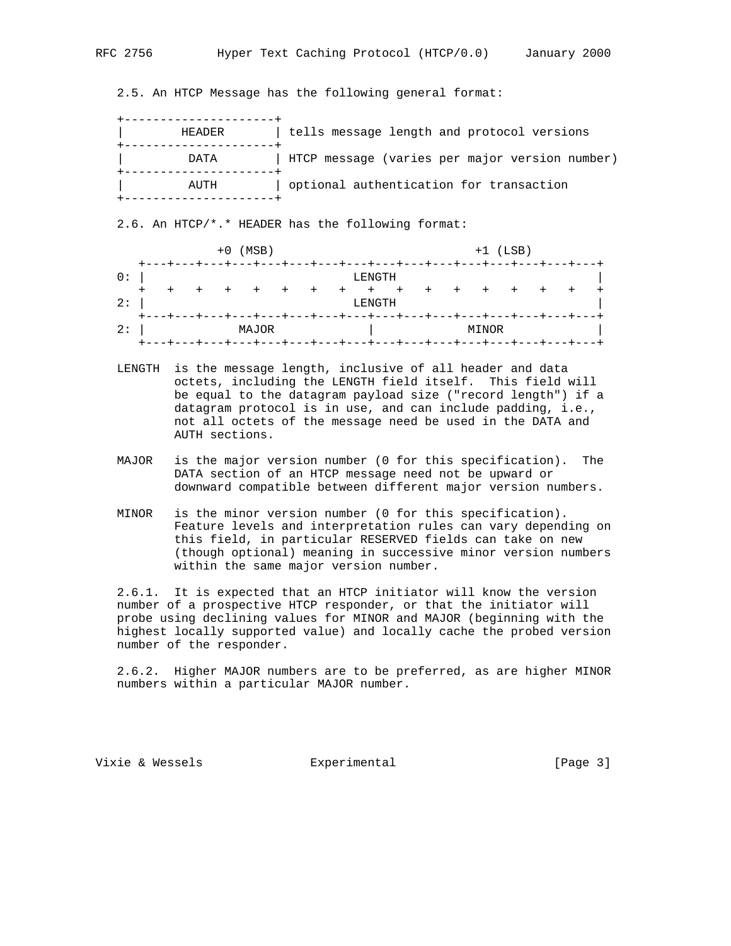2.5. An HTCP Message has the following general format:

| HEADER | tells message length and protocol versions     |
|--------|------------------------------------------------|
| DATA   | HTCP message (varies per major version number) |
| AUTH   | optional authentication for transaction        |
|        |                                                |

## 2.6. An HTCP/\*.\* HEADER has the following format:

|           |             |  | $+0$ (MSB) |     |         |                                                              |     |         |       | $+1$ (LSB) |  |  |
|-----------|-------------|--|------------|-----|---------|--------------------------------------------------------------|-----|---------|-------|------------|--|--|
| 0:        | $+ - - - +$ |  |            |     |         | -+---+---+---+---+---+---+---+---+---+---+---+---+<br>LENGTH |     |         |       |            |  |  |
| $+$<br>2: |             |  |            | $+$ | $+$ $+$ | $+$<br>LENGTH                                                | $+$ | $+$ $+$ | $+$   | $+$        |  |  |
| 2:        |             |  | MAJOR      |     |         | ----+---+---+---+---+---+---+---+---+---+---+---+            |     |         | MINOR |            |  |  |

- LENGTH is the message length, inclusive of all header and data octets, including the LENGTH field itself. This field will be equal to the datagram payload size ("record length") if a datagram protocol is in use, and can include padding, i.e., not all octets of the message need be used in the DATA and AUTH sections.
- MAJOR is the major version number (0 for this specification). The DATA section of an HTCP message need not be upward or downward compatible between different major version numbers.
- MINOR is the minor version number (0 for this specification). Feature levels and interpretation rules can vary depending on this field, in particular RESERVED fields can take on new (though optional) meaning in successive minor version numbers within the same major version number.

 2.6.1. It is expected that an HTCP initiator will know the version number of a prospective HTCP responder, or that the initiator will probe using declining values for MINOR and MAJOR (beginning with the highest locally supported value) and locally cache the probed version number of the responder.

 2.6.2. Higher MAJOR numbers are to be preferred, as are higher MINOR numbers within a particular MAJOR number.

Vixie & Wessels **Experimental** Formula (Page 3)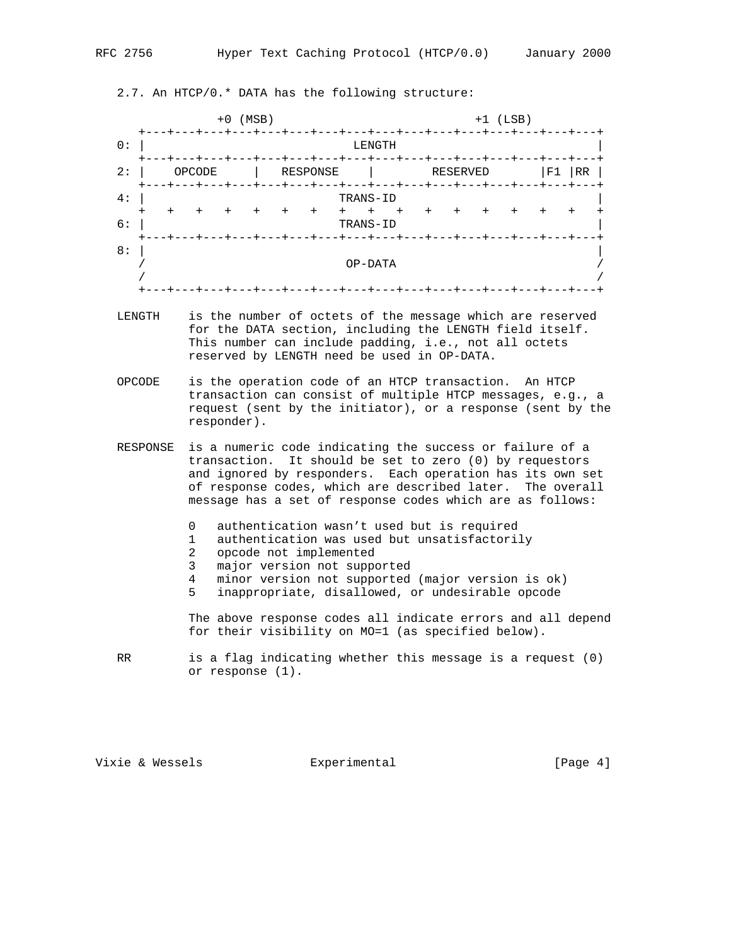2.7. An HTCP/0.\* DATA has the following structure:

| $\div$     |        | $+0$ | (MSB) |           |          |      |                       |           |     |          | $+1$ (LSB) |        |    |
|------------|--------|------|-------|-----------|----------|------|-----------------------|-----------|-----|----------|------------|--------|----|
| 0:         |        |      |       |           |          |      | LENGTH                |           |     |          |            |        |    |
| 2:         | OPCODE |      |       |           | RESPONSE |      |                       |           |     | RESERVED |            | F1     | RR |
| 4 :        |        |      |       |           |          |      | TRANS-ID              |           |     |          |            |        |    |
| $^+$<br>6: |        |      |       | $\ddot{}$ | $+$      | $^+$ | $\ddot{}$<br>TRANS-ID | $\ddot{}$ | $+$ |          | $^{+}$     | $^{+}$ |    |
| 8:         |        |      |       |           |          |      |                       |           |     |          |            |        |    |
|            |        |      |       |           |          |      | OP-DATA               |           |     |          |            |        |    |

- LENGTH is the number of octets of the message which are reserved for the DATA section, including the LENGTH field itself. This number can include padding, i.e., not all octets reserved by LENGTH need be used in OP-DATA.
- OPCODE is the operation code of an HTCP transaction. An HTCP transaction can consist of multiple HTCP messages, e.g., a request (sent by the initiator), or a response (sent by the responder).
- RESPONSE is a numeric code indicating the success or failure of a transaction. It should be set to zero (0) by requestors and ignored by responders. Each operation has its own set of response codes, which are described later. The overall message has a set of response codes which are as follows:
	- 0 authentication wasn't used but is required
	- 1 authentication was used but unsatisfactorily
	- 2 opcode not implemented
	- 3 major version not supported<br>4 minor version not supported
	- minor version not supported (major version is ok)
	- 5 inappropriate, disallowed, or undesirable opcode

 The above response codes all indicate errors and all depend for their visibility on MO=1 (as specified below).

 RR is a flag indicating whether this message is a request (0) or response (1).

Vixie & Wessels **Experimental Experimental** [Page 4]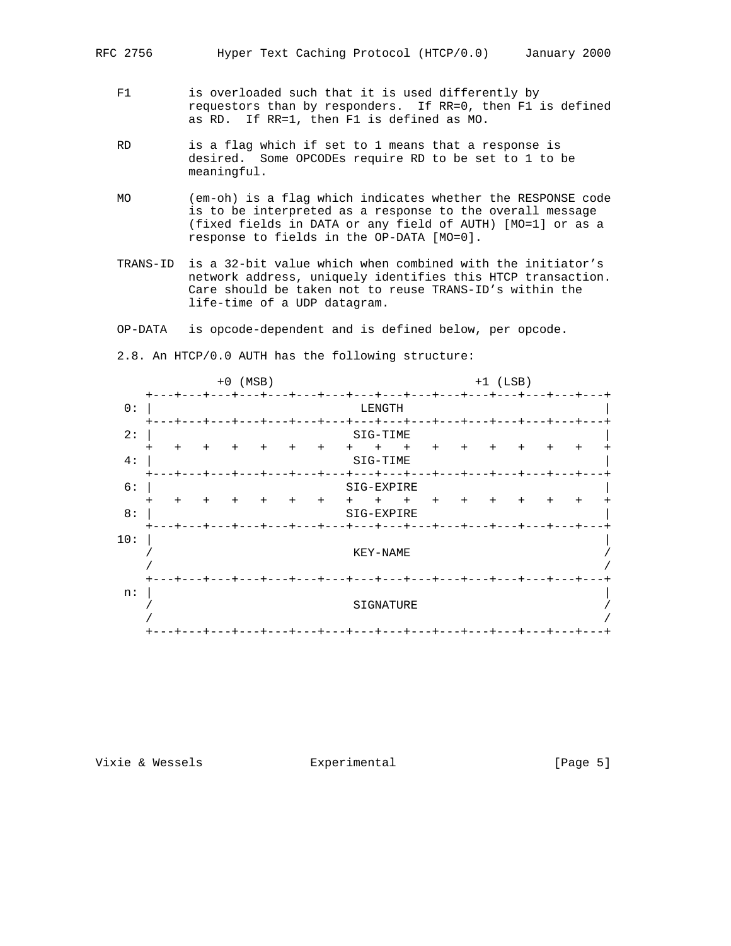- F1 is overloaded such that it is used differently by requestors than by responders. If RR=0, then F1 is defined as RD. If RR=1, then F1 is defined as MO.
- RD is a flag which if set to 1 means that a response is desired. Some OPCODEs require RD to be set to 1 to be meaningful.
- MO (em-oh) is a flag which indicates whether the RESPONSE code is to be interpreted as a response to the overall message (fixed fields in DATA or any field of AUTH) [MO=1] or as a response to fields in the OP-DATA [MO=0].
- TRANS-ID is a 32-bit value which when combined with the initiator's network address, uniquely identifies this HTCP transaction. Care should be taken not to reuse TRANS-ID's within the life-time of a UDP datagram.
- OP-DATA is opcode-dependent and is defined below, per opcode.

2.8. An HTCP/0.0 AUTH has the following structure:

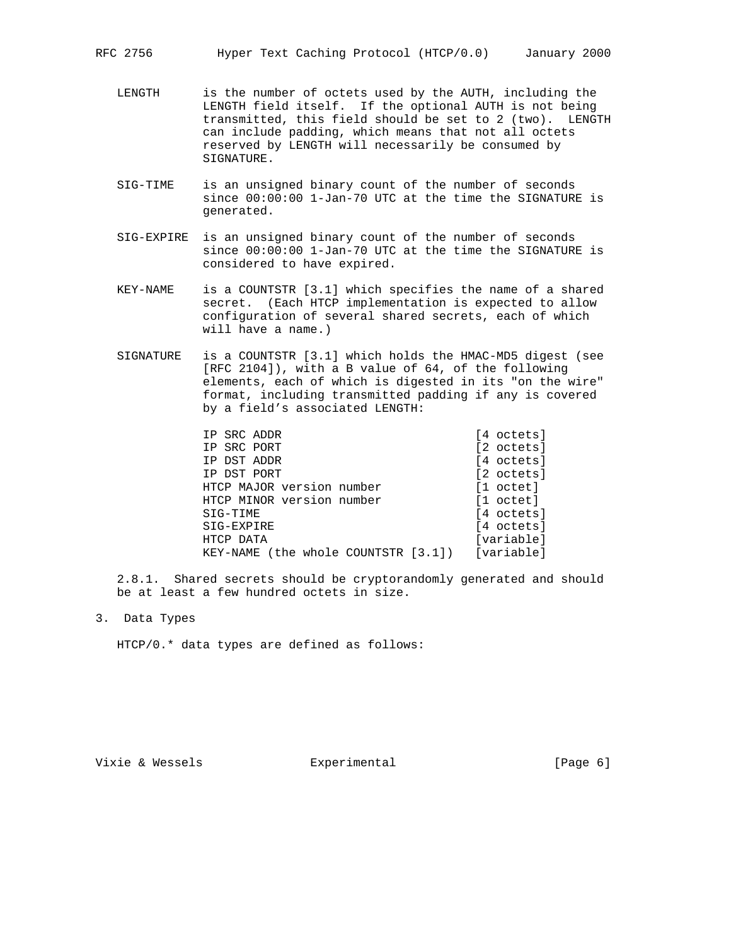- LENGTH is the number of octets used by the AUTH, including the LENGTH field itself. If the optional AUTH is not being transmitted, this field should be set to 2 (two). LENGTH can include padding, which means that not all octets reserved by LENGTH will necessarily be consumed by SIGNATURE.
- SIG-TIME is an unsigned binary count of the number of seconds since 00:00:00 1-Jan-70 UTC at the time the SIGNATURE is generated.
- SIG-EXPIRE is an unsigned binary count of the number of seconds since 00:00:00 1-Jan-70 UTC at the time the SIGNATURE is considered to have expired.
- KEY-NAME is a COUNTSTR [3.1] which specifies the name of a shared secret. (Each HTCP implementation is expected to allow configuration of several shared secrets, each of which will have a name.)
- SIGNATURE is a COUNTSTR [3.1] which holds the HMAC-MD5 digest (see [RFC 2104]), with a B value of 64, of the following elements, each of which is digested in its "on the wire" format, including transmitted padding if any is covered by a field's associated LENGTH:

| IP SRC ADDR                         | [4 octets] |
|-------------------------------------|------------|
| IP SRC PORT                         | [2 octets] |
| IP DST ADDR                         | [4 octets] |
| IP DST PORT                         | [2 octets] |
| HTCP MAJOR version number           | [1 octet]  |
| HTCP MINOR version number           | [1 octet]  |
| SIG-TIME                            | [4 octets] |
| SIG-EXPIRE                          | [4 octets] |
| HTCP DATA                           | [variable] |
| KEY-NAME (the whole COUNTSTR [3.1]) | [variable] |

 2.8.1. Shared secrets should be cryptorandomly generated and should be at least a few hundred octets in size.

3. Data Types

HTCP/0.\* data types are defined as follows:

Vixie & Wessels **Experimental** (Page 6)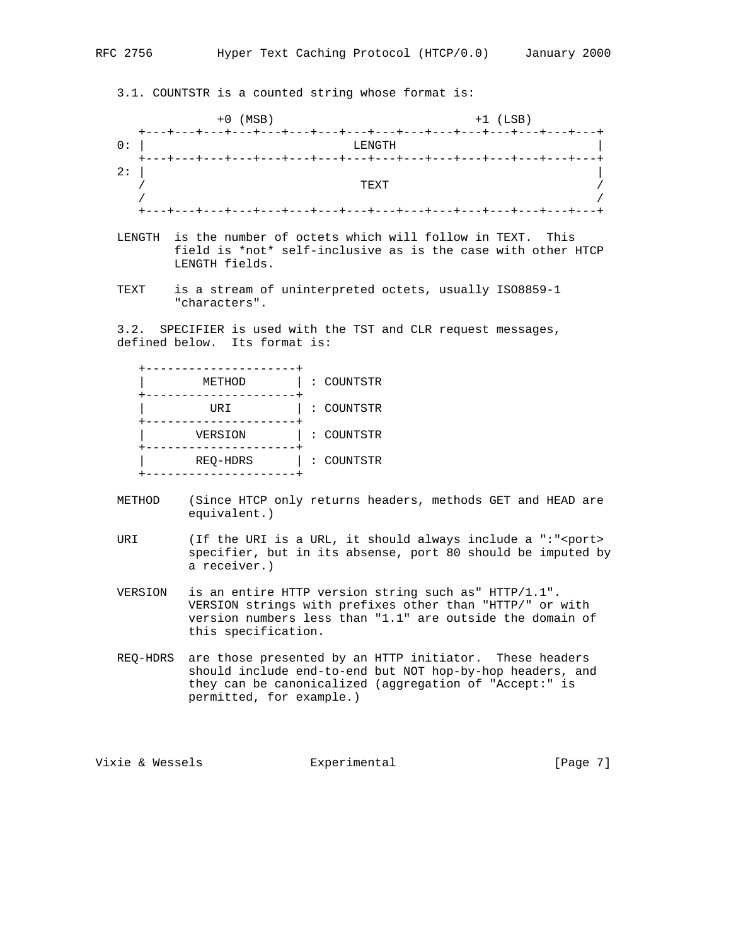3.1. COUNTSTR is a counted string whose format is:

|     | $+0$ (MSB)                                                                  | $+1$ (LSB)                                         |
|-----|-----------------------------------------------------------------------------|----------------------------------------------------|
| 0 : | ---+---+---+---+---+---+---+---+---+---+---+---+---+<br>キーーーキーーーキ<br>LENGTH |                                                    |
|     |                                                                             | --+---+---+---+---+---+---+---+---+---+---+---+--- |
| 2:  |                                                                             |                                                    |
|     | TEXT                                                                        |                                                    |
|     | ----                                                                        | +---+---+---+---+---+---                           |

- LENGTH is the number of octets which will follow in TEXT. This field is \*not\* self-inclusive as is the case with other HTCP LENGTH fields.
- TEXT is a stream of uninterpreted octets, usually ISO8859-1 "characters".

 3.2. SPECIFIER is used with the TST and CLR request messages, defined below. Its format is:

 +---------------------+ | METHOD | : COUNTSTR +---------------------+ | URI | : COUNTSTR +---------------------+ | VERSION | : COUNTSTR +---------------------+ | REQ-HDRS | : COUNTSTR +---------------------+

- METHOD (Since HTCP only returns headers, methods GET and HEAD are equivalent.)
- URI (If the URI is a URL, it should always include a ":"<port> specifier, but in its absense, port 80 should be imputed by a receiver.)
- VERSION is an entire HTTP version string such as" HTTP/1.1". VERSION strings with prefixes other than "HTTP/" or with version numbers less than "1.1" are outside the domain of this specification.
- REQ-HDRS are those presented by an HTTP initiator. These headers should include end-to-end but NOT hop-by-hop headers, and they can be canonicalized (aggregation of "Accept:" is permitted, for example.)

Vixie & Wessels **Experimental Experimental** [Page 7]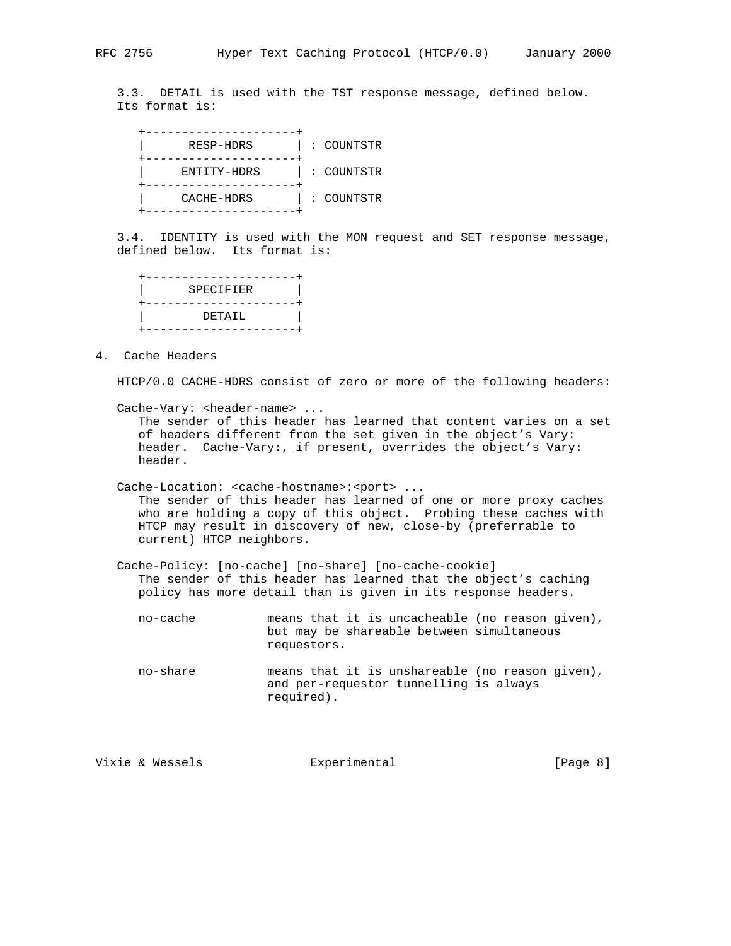3.3. DETAIL is used with the TST response message, defined below. Its format is:

 +---------------------+ | RESP-HDRS | : COUNTSTR +---------------------+ | ENTITY-HDRS | : COUNTSTR +---------------------+ | CACHE-HDRS | : COUNTSTR +---------------------+

 3.4. IDENTITY is used with the MON request and SET response message, defined below. Its format is:

| ----------------           |  |
|----------------------------|--|
| SPECIFIER                  |  |
| ---------------<br>DETATI. |  |
|                            |  |

4. Cache Headers

HTCP/0.0 CACHE-HDRS consist of zero or more of the following headers:

Cache-Vary: <header-name> ...

 The sender of this header has learned that content varies on a set of headers different from the set given in the object's Vary: header. Cache-Vary:, if present, overrides the object's Vary: header.

Cache-Location: <cache-hostname>:<port> ...

 The sender of this header has learned of one or more proxy caches who are holding a copy of this object. Probing these caches with HTCP may result in discovery of new, close-by (preferrable to current) HTCP neighbors.

 Cache-Policy: [no-cache] [no-share] [no-cache-cookie] The sender of this header has learned that the object's caching policy has more detail than is given in its response headers.

 no-cache means that it is uncacheable (no reason given), but may be shareable between simultaneous requestors.

 no-share means that it is unshareable (no reason given), and per-requestor tunnelling is always required).

Vixie & Wessels **Experimental** Formula (Page 8)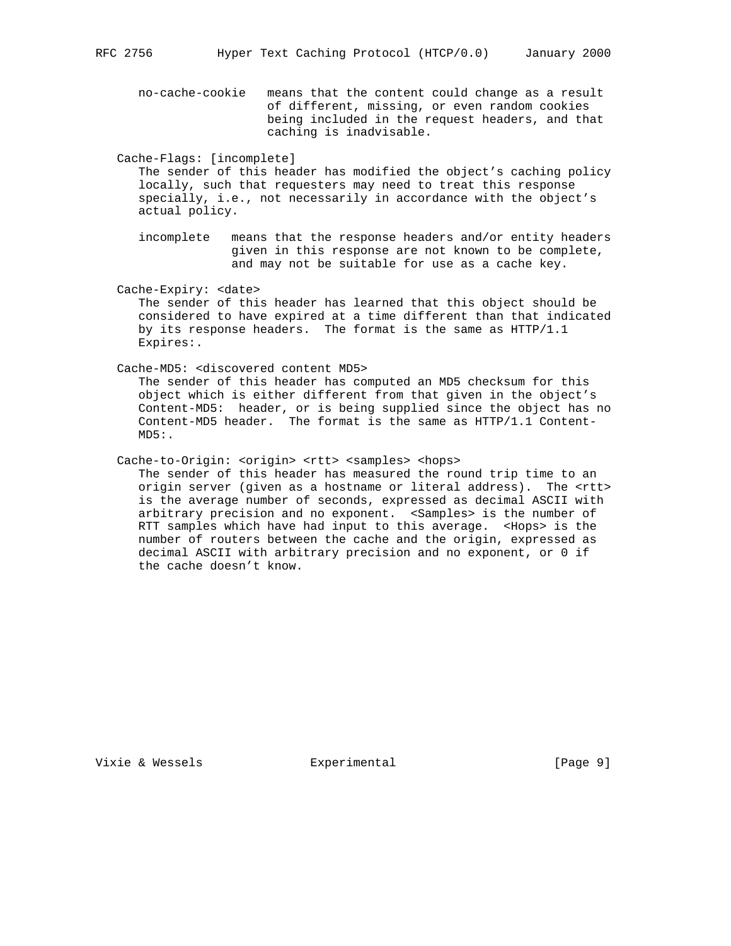no-cache-cookie means that the content could change as a result of different, missing, or even random cookies being included in the request headers, and that caching is inadvisable.

Cache-Flags: [incomplete]

 The sender of this header has modified the object's caching policy locally, such that requesters may need to treat this response specially, i.e., not necessarily in accordance with the object's actual policy.

 incomplete means that the response headers and/or entity headers given in this response are not known to be complete, and may not be suitable for use as a cache key.

Cache-Expiry: <date>

 The sender of this header has learned that this object should be considered to have expired at a time different than that indicated by its response headers. The format is the same as HTTP/1.1 Expires:.

Cache-MD5: <discovered content MD5>

 The sender of this header has computed an MD5 checksum for this object which is either different from that given in the object's Content-MD5: header, or is being supplied since the object has no Content-MD5 header. The format is the same as HTTP/1.1 Content-  $MD5:$ .

Cache-to-Origin: <origin> <rtt> <samples> <hops>

 The sender of this header has measured the round trip time to an origin server (given as a hostname or literal address). The <rtt> is the average number of seconds, expressed as decimal ASCII with arbitrary precision and no exponent. <Samples> is the number of RTT samples which have had input to this average. <Hops> is the number of routers between the cache and the origin, expressed as decimal ASCII with arbitrary precision and no exponent, or 0 if the cache doesn't know.

Vixie & Wessels **Experimental** Formula (Page 9)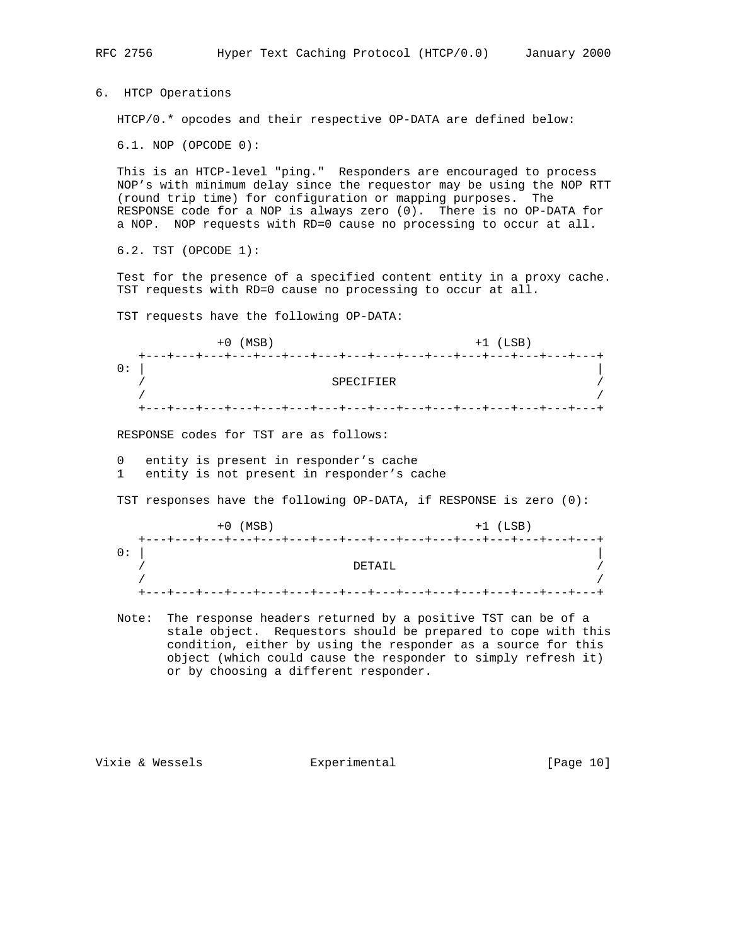RFC 2756 Hyper Text Caching Protocol (HTCP/0.0) January 2000 6. HTCP Operations HTCP/0.\* opcodes and their respective OP-DATA are defined below: 6.1. NOP (OPCODE 0): This is an HTCP-level "ping." Responders are encouraged to process NOP's with minimum delay since the requestor may be using the NOP RTT (round trip time) for configuration or mapping purposes. The RESPONSE code for a NOP is always zero (0). There is no OP-DATA for a NOP. NOP requests with RD=0 cause no processing to occur at all. 6.2. TST (OPCODE 1): Test for the presence of a specified content entity in a proxy cache. TST requests with RD=0 cause no processing to occur at all. TST requests have the following OP-DATA: +0 (MSB) +1 (LSB) +---+---+---+---+---+---+---+---+---+---+---+---+---+---+---+---+  $\overline{0:}$  | / SPECIFIER / / / +---+---+---+---+---+---+---+---+---+---+---+---+---+---+---+---+ RESPONSE codes for TST are as follows: 0 entity is present in responder's cache 1 entity is not present in responder's cache TST responses have the following OP-DATA, if RESPONSE is zero (0): +0 (MSB) +1 (LSB) +---+---+---+---+---+---+---+---+---+---+---+---+---+---+---+---+  $\overline{0}$ : | / DETAIL / / / +---+---+---+---+---+---+---+---+---+---+---+---+---+---+---+---+ Note: The response headers returned by a positive TST can be of a stale object. Requestors should be prepared to cope with this condition, either by using the responder as a source for this object (which could cause the responder to simply refresh it) or by choosing a different responder.

Vixie & Wessels **Experimental** (Page 10)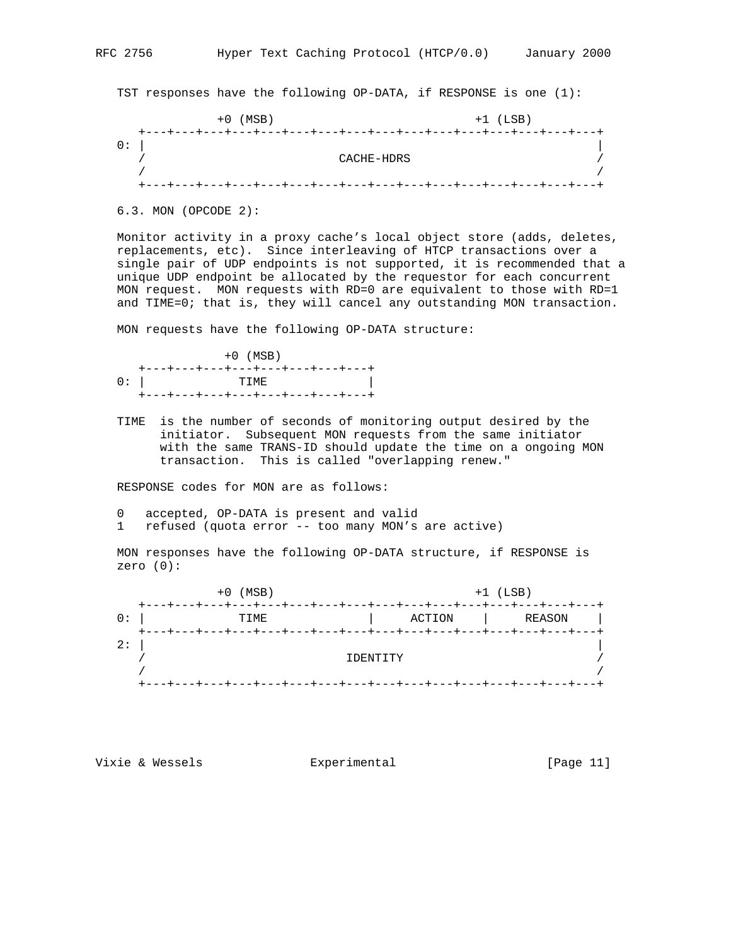TST responses have the following OP-DATA, if RESPONSE is one (1):

| (MSB)<br>+0                                                           |            | $+1$ (LSB) |  |
|-----------------------------------------------------------------------|------------|------------|--|
| +---+---+---+---+---+---+---+---+---+---+---+---+---+---+---+---+---+ | CACHE-HDRS |            |  |
|                                                                       |            |            |  |
| +---+---+---+---+---+---+---+---+---+---+---+---+---+---+---+---+---  |            |            |  |

6.3. MON (OPCODE 2):

 Monitor activity in a proxy cache's local object store (adds, deletes, replacements, etc). Since interleaving of HTCP transactions over a single pair of UDP endpoints is not supported, it is recommended that a unique UDP endpoint be allocated by the requestor for each concurrent MON request. MON requests with RD=0 are equivalent to those with RD=1 and TIME=0; that is, they will cancel any outstanding MON transaction.

MON requests have the following OP-DATA structure:

|      | $+0$ (MSB)                        |
|------|-----------------------------------|
|      | +---+---+---+---+---+---+---+---+ |
| $0:$ | TTMF.                             |
|      | +---+---+---+---+---+---+---+---  |

 TIME is the number of seconds of monitoring output desired by the initiator. Subsequent MON requests from the same initiator with the same TRANS-ID should update the time on a ongoing MON transaction. This is called "overlapping renew."

RESPONSE codes for MON are as follows:

- 0 accepted, OP-DATA is present and valid
- 1 refused (quota error -- too many MON's are active)

 MON responses have the following OP-DATA structure, if RESPONSE is zero (0):

 +0 (MSB) +1 (LSB) +---+---+---+---+---+---+---+---+---+---+---+---+---+---+---+---+ 0: | TIME | ACTION | REASON | +---+---+---+---+---+---+---+---+---+---+---+---+---+---+---+---+ 2:  $\vert$  / IDENTITY / / / +---+---+---+---+---+---+---+---+---+---+---+---+---+---+---+---+

Vixie & Wessels **Experimental** (Page 11)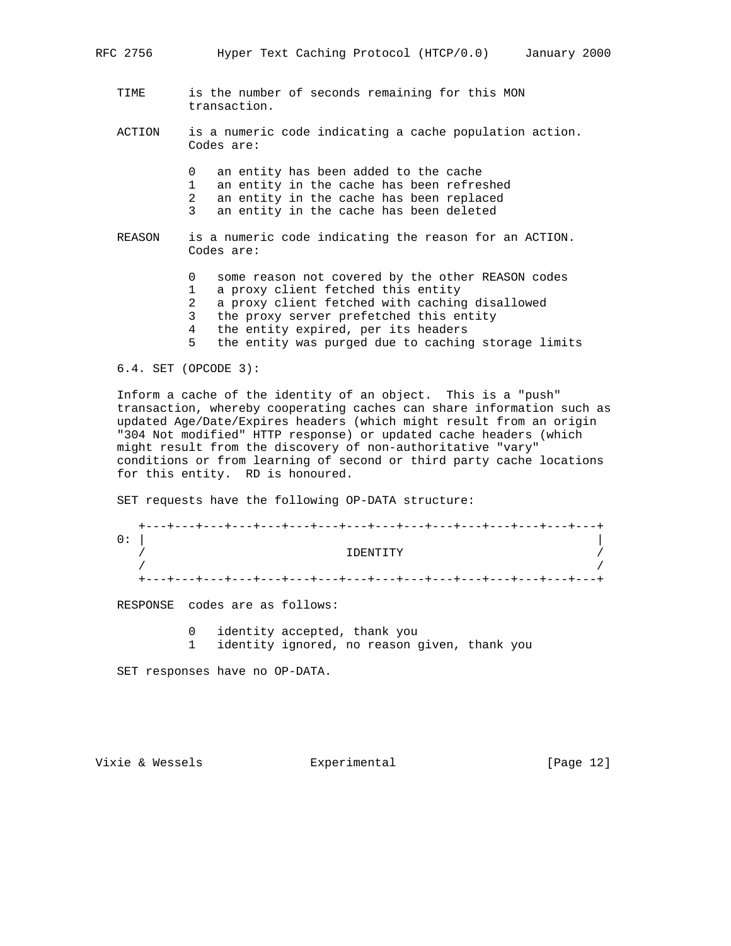| RFC 2756 | Hyper Text Caching Protocol (HTCP/0.0)<br>January 2000                                                                                                                                                                                                                                                           |
|----------|------------------------------------------------------------------------------------------------------------------------------------------------------------------------------------------------------------------------------------------------------------------------------------------------------------------|
| TIME     | is the number of seconds remaining for this MON<br>transaction.                                                                                                                                                                                                                                                  |
| ACTION   | is a numeric code indicating a cache population action.<br>Codes are:                                                                                                                                                                                                                                            |
|          | 0<br>an entity has been added to the cache<br>1<br>an entity in the cache has been refreshed<br>2<br>an entity in the cache has been replaced<br>3<br>an entity in the cache has been deleted                                                                                                                    |
| REASON   | is a numeric code indicating the reason for an ACTION.<br>Codes are:                                                                                                                                                                                                                                             |
|          | some reason not covered by the other REASON codes<br>0<br>1<br>a proxy client fetched this entity<br>2<br>a proxy client fetched with caching disallowed<br>3<br>the proxy server prefetched this entity<br>the entity expired, per its headers<br>4<br>5<br>the entity was purged due to caching storage limits |

6.4. SET (OPCODE 3):

 Inform a cache of the identity of an object. This is a "push" transaction, whereby cooperating caches can share information such as updated Age/Date/Expires headers (which might result from an origin "304 Not modified" HTTP response) or updated cache headers (which might result from the discovery of non-authoritative "vary" conditions or from learning of second or third party cache locations for this entity. RD is honoured.

SET requests have the following OP-DATA structure:

| +---+---+---+---+---+---+---+---+---+---+---+---+---+---+---+---+---+ |  |
|-----------------------------------------------------------------------|--|
|                                                                       |  |
| פידידימית                                                             |  |
|                                                                       |  |
| +---+---+---+---+---+---+---+---+---+---+---+---+---+---+---+---+-    |  |

RESPONSE codes are as follows:

0 identity accepted, thank you

1 identity ignored, no reason given, thank you

SET responses have no OP-DATA.

Vixie & Wessels **Experimental** [Page 12]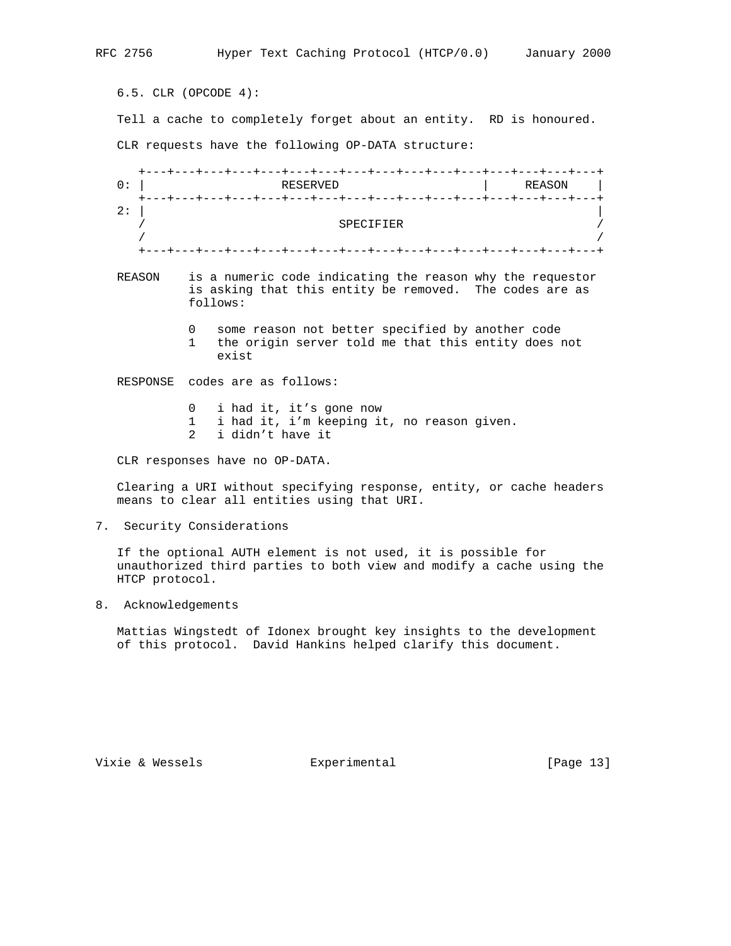6.5. CLR (OPCODE 4): Tell a cache to completely forget about an entity. RD is honoured. CLR requests have the following OP-DATA structure: +---+---+---+---+---+---+---+---+---+---+---+---+---+---+---+---+ RESERVED | REASON | +---+---+---+---+---+---+---+---+---+---+---+---+---+---+---+---+ 2:  $\vert$  / SPECIFIER / / / +---+---+---+---+---+---+---+---+---+---+---+---+---+---+---+---+ REASON is a numeric code indicating the reason why the requestor is asking that this entity be removed. The codes are as follows: 0 some reason not better specified by another code 1 the origin server told me that this entity does not exist RESPONSE codes are as follows: 0 i had it, it's gone now 1 i had it, i'm keeping it, no reason given. 2 i didn't have it

CLR responses have no OP-DATA.

 Clearing a URI without specifying response, entity, or cache headers means to clear all entities using that URI.

7. Security Considerations

 If the optional AUTH element is not used, it is possible for unauthorized third parties to both view and modify a cache using the HTCP protocol.

8. Acknowledgements

 Mattias Wingstedt of Idonex brought key insights to the development of this protocol. David Hankins helped clarify this document.

Vixie & Wessels **Experimental** [Page 13]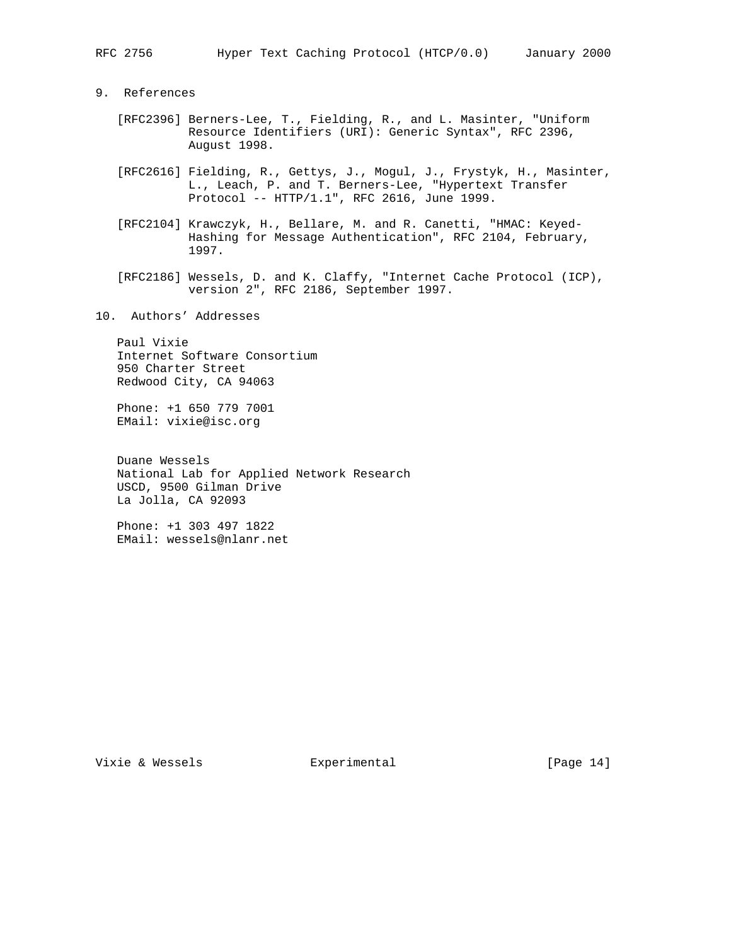9. References

- [RFC2396] Berners-Lee, T., Fielding, R., and L. Masinter, "Uniform Resource Identifiers (URI): Generic Syntax", RFC 2396, August 1998.
- [RFC2616] Fielding, R., Gettys, J., Mogul, J., Frystyk, H., Masinter, L., Leach, P. and T. Berners-Lee, "Hypertext Transfer Protocol -- HTTP/1.1", RFC 2616, June 1999.
- [RFC2104] Krawczyk, H., Bellare, M. and R. Canetti, "HMAC: Keyed- Hashing for Message Authentication", RFC 2104, February, 1997.
- [RFC2186] Wessels, D. and K. Claffy, "Internet Cache Protocol (ICP), version 2", RFC 2186, September 1997.
- 10. Authors' Addresses

 Paul Vixie Internet Software Consortium 950 Charter Street Redwood City, CA 94063

 Phone: +1 650 779 7001 EMail: vixie@isc.org

 Duane Wessels National Lab for Applied Network Research USCD, 9500 Gilman Drive La Jolla, CA 92093

 Phone: +1 303 497 1822 EMail: wessels@nlanr.net